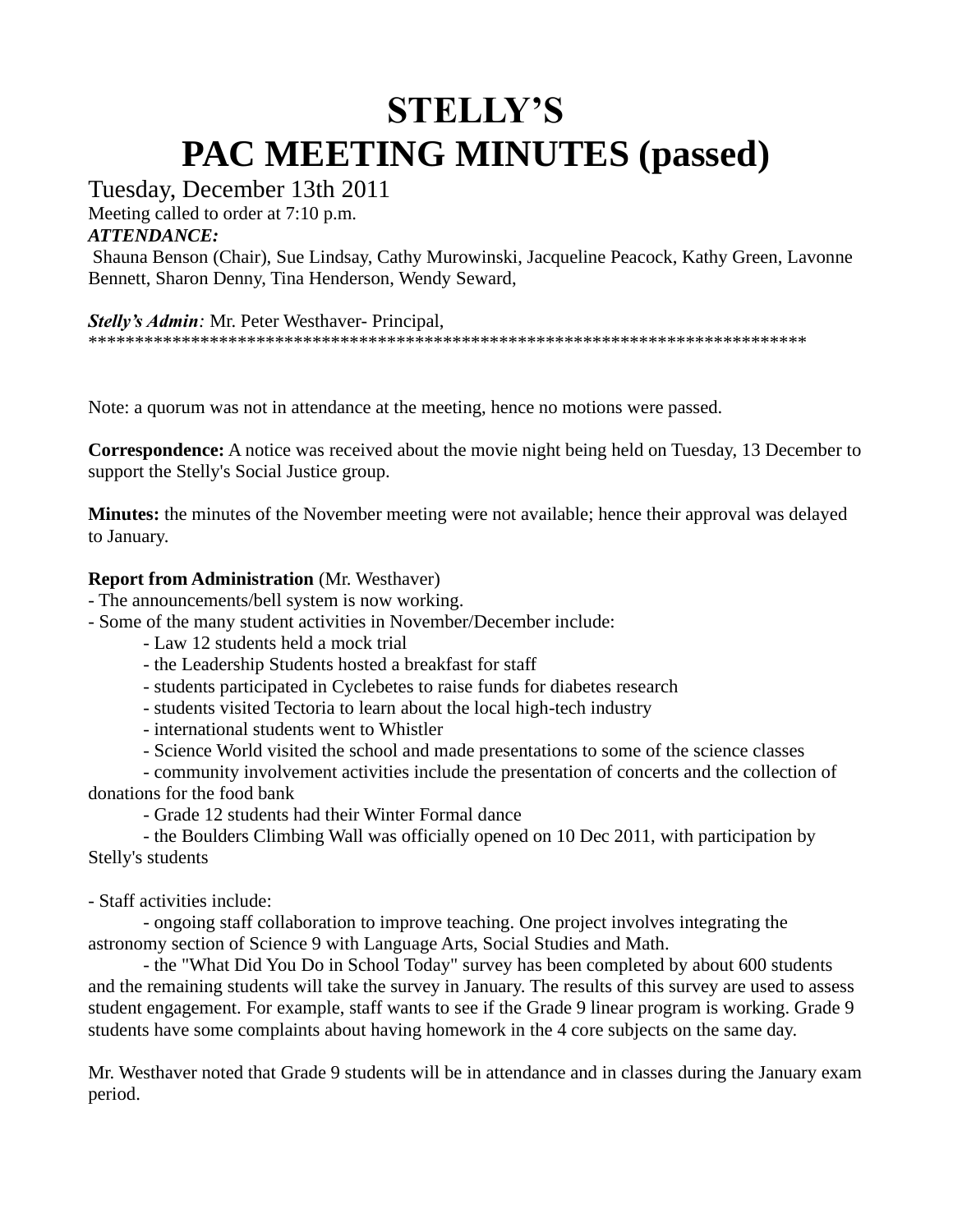## **STELLY'S PAC MEETING MINUTES (passed)**

Tuesday, December 13th 2011

Meeting called to order at 7:10 p.m.

*ATTENDANCE:*

Shauna Benson (Chair), Sue Lindsay, Cathy Murowinski, Jacqueline Peacock, Kathy Green, Lavonne Bennett, Sharon Denny, Tina Henderson, Wendy Seward,

## *Stelly's Admin:* Mr. Peter Westhaver- Principal,

\*\*\*\*\*\*\*\*\*\*\*\*\*\*\*\*\*\*\*\*\*\*\*\*\*\*\*\*\*\*\*\*\*\*\*\*\*\*\*\*\*\*\*\*\*\*\*\*\*\*\*\*\*\*\*\*\*\*\*\*\*\*\*\*\*\*\*\*\*\*\*\*\*\*\*\*\*

Note: a quorum was not in attendance at the meeting, hence no motions were passed.

**Correspondence:** A notice was received about the movie night being held on Tuesday, 13 December to support the Stelly's Social Justice group.

**Minutes:** the minutes of the November meeting were not available; hence their approval was delayed to January.

## **Report from Administration** (Mr. Westhaver)

- The announcements/bell system is now working.

- Some of the many student activities in November/December include:

- Law 12 students held a mock trial

- the Leadership Students hosted a breakfast for staff

- students participated in Cyclebetes to raise funds for diabetes research

- students visited Tectoria to learn about the local high-tech industry

- international students went to Whistler

- Science World visited the school and made presentations to some of the science classes

- community involvement activities include the presentation of concerts and the collection of donations for the food bank

- Grade 12 students had their Winter Formal dance

- the Boulders Climbing Wall was officially opened on 10 Dec 2011, with participation by Stelly's students

- Staff activities include:

- ongoing staff collaboration to improve teaching. One project involves integrating the astronomy section of Science 9 with Language Arts, Social Studies and Math.

- the "What Did You Do in School Today" survey has been completed by about 600 students and the remaining students will take the survey in January. The results of this survey are used to assess student engagement. For example, staff wants to see if the Grade 9 linear program is working. Grade 9 students have some complaints about having homework in the 4 core subjects on the same day.

Mr. Westhaver noted that Grade 9 students will be in attendance and in classes during the January exam period.